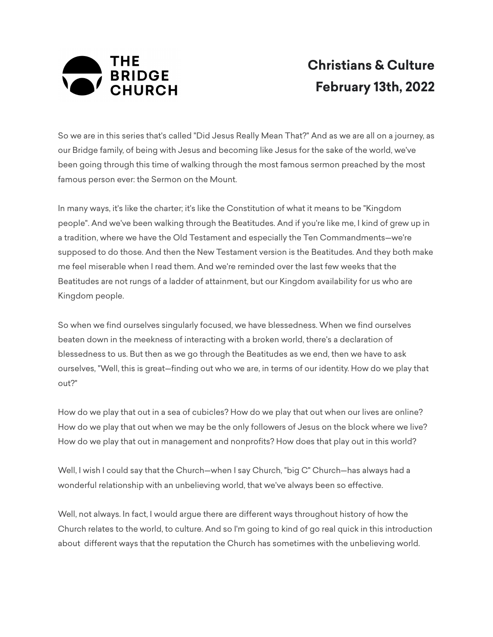

## **Christians & Culture February 13th, 2022**

So we are in this series that's called "Did Jesus Really Mean That?" And as we are all on a journey, as our Bridge family, of being with Jesus and becoming like Jesus for the sake of the world, we've been going through this time of walking through the most famous sermon preached by the most famous person ever: the Sermon on the Mount.

In many ways, it's like the charter; it's like the Constitution of what it means to be "Kingdom people". And we've been walking through the Beatitudes. And if you're like me, I kind of grew up in a tradition, where we have the Old Testament and especially the Ten Commandments—we're supposed to do those. And then the New Testament version is the Beatitudes. And they both make me feel miserable when I read them. And we're reminded over the last few weeks that the Beatitudes are not rungs of a ladder of attainment, but our Kingdom availability for us who are Kingdom people.

So when we find ourselves singularly focused, we have blessedness. When we find ourselves beaten down in the meekness of interacting with a broken world, there's a declaration of blessedness to us. But then as we go through the Beatitudes as we end, then we have to ask ourselves, "Well, this is great—finding out who we are, in terms of our identity. How do we play that out?"

How do we play that out in a sea of cubicles? How do we play that out when our lives are online? How do we play that out when we may be the only followers of Jesus on the block where we live? How do we play that out in management and nonprofits? How does that play out in this world?

Well, I wish I could say that the Church—when I say Church, "big C" Church—has always had a wonderful relationship with an unbelieving world, that we've always been so effective.

Well, not always. In fact, I would argue there are different ways throughout history of how the Church relates to the world, to culture. And so I'm going to kind of go real quick in this introduction about different ways that the reputation the Church has sometimes with the unbelieving world.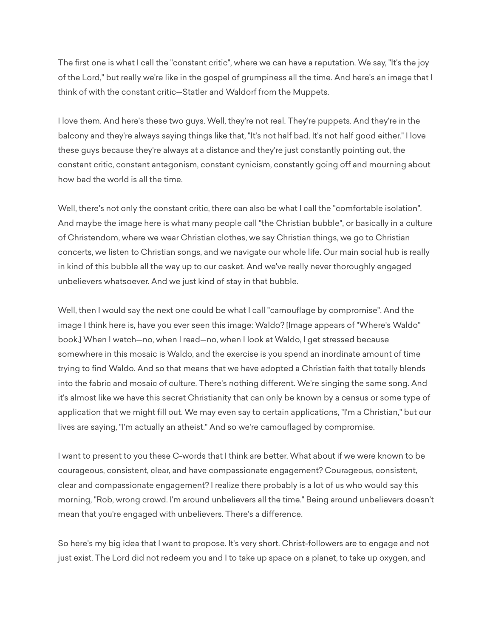The first one is what I call the "constant critic", where we can have a reputation. We say, "It's the joy of the Lord," but really we're like in the gospel of grumpiness all the time. And here's an image that I think of with the constant critic—Statler and Waldorf from the Muppets.

I love them. And here's these two guys. Well, they're not real. They're puppets. And they're in the balcony and they're always saying things like that, "It's not half bad. It's not half good either." I love these guys because they're always at a distance and they're just constantly pointing out, the constant critic, constant antagonism, constant cynicism, constantly going off and mourning about how bad the world is all the time.

Well, there's not only the constant critic, there can also be what I call the "comfortable isolation". And maybe the image here is what many people call "the Christian bubble", or basically in a culture of Christendom, where we wear Christian clothes, we say Christian things, we go to Christian concerts, we listen to Christian songs, and we navigate our whole life. Our main social hub is really in kind of this bubble all the way up to our casket. And we've really never thoroughly engaged unbelievers whatsoever. And we just kind of stay in that bubble.

Well, then I would say the next one could be what I call "camouflage by compromise". And the image I think here is, have you ever seen this image: Waldo? [Image appears of "Where's Waldo" book.] When I watch—no, when I read—no, when I look at Waldo, I get stressed because somewhere in this mosaic is Waldo, and the exercise is you spend an inordinate amount of time trying to find Waldo. And so that means that we have adopted a Christian faith that totally blends into the fabric and mosaic of culture. There's nothing different. We're singing the same song. And it's almost like we have this secret Christianity that can only be known by a census or some type of application that we might fill out. We may even say to certain applications, "I'm a Christian," but our lives are saying, "I'm actually an atheist." And so we're camouflaged by compromise.

I want to present to you these C-words that I think are better. What about if we were known to be courageous, consistent, clear, and have compassionate engagement? Courageous, consistent, clear and compassionate engagement? I realize there probably is a lot of us who would say this morning, "Rob, wrong crowd. I'm around unbelievers all the time." Being around unbelievers doesn't mean that you're engaged with unbelievers. There's a difference.

So here's my big idea that I want to propose. It's very short. Christ-followers are to engage and not just exist. The Lord did not redeem you and I to take up space on a planet, to take up oxygen, and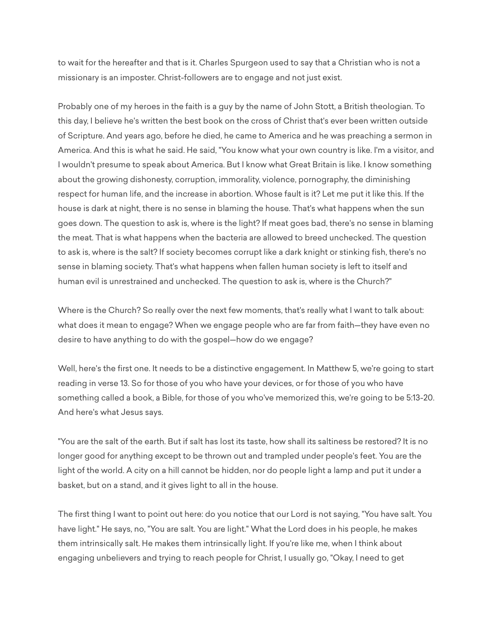to wait for the hereafter and that is it. Charles Spurgeon used to say that a Christian who is not a missionary is an imposter. Christ-followers are to engage and not just exist.

Probably one of my heroes in the faith is a guy by the name of John Stott, a British theologian. To this day, I believe he's written the best book on the cross of Christ that's ever been written outside of Scripture. And years ago, before he died, he came to America and he was preaching a sermon in America. And this is what he said. He said, "You know what your own country is like. I'm a visitor, and I wouldn't presume to speak about America. But I know what Great Britain is like. I know something about the growing dishonesty, corruption, immorality, violence, pornography, the diminishing respect for human life, and the increase in abortion. Whose fault is it? Let me put it like this. If the house is dark at night, there is no sense in blaming the house. That's what happens when the sun goes down. The question to ask is, where is the light? If meat goes bad, there's no sense in blaming the meat. That is what happens when the bacteria are allowed to breed unchecked. The question to ask is, where is the salt? If society becomes corrupt like a dark knight or stinking fish, there's no sense in blaming society. That's what happens when fallen human society is left to itself and human evil is unrestrained and unchecked. The question to ask is, where is the Church?"

Where is the Church? So really over the next few moments, that's really what I want to talk about: what does it mean to engage? When we engage people who are far from faith—they have even no desire to have anything to do with the gospel—how do we engage?

Well, here's the first one. It needs to be a distinctive engagement. In Matthew 5, we're going to start reading in verse 13. So for those of you who have your devices, or for those of you who have something called a book, a Bible, for those of you who've memorized this, we're going to be 5:13-20. And here's what Jesus says.

"You are the salt of the earth. But if salt has lost its taste, how shall its saltiness be restored? It is no longer good for anything except to be thrown out and trampled under people's feet. You are the light of the world. A city on a hill cannot be hidden, nor do people light a lamp and put it under a basket, but on a stand, and it gives light to all in the house.

The first thing I want to point out here: do you notice that our Lord is not saying, "You have salt. You have light." He says, no, "You are salt. You are light." What the Lord does in his people, he makes them intrinsically salt. He makes them intrinsically light. If you're like me, when I think about engaging unbelievers and trying to reach people for Christ, I usually go, "Okay, I need to get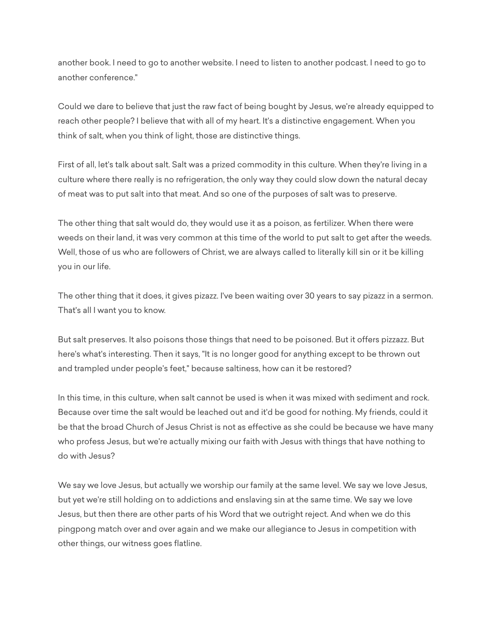another book. I need to go to another website. I need to listen to another podcast. I need to go to another conference."

Could we dare to believe that just the raw fact of being bought by Jesus, we're already equipped to reach other people? I believe that with all of my heart. It's a distinctive engagement. When you think of salt, when you think of light, those are distinctive things.

First of all, let's talk about salt. Salt was a prized commodity in this culture. When they're living in a culture where there really is no refrigeration, the only way they could slow down the natural decay of meat was to put salt into that meat. And so one of the purposes of salt was to preserve.

The other thing that salt would do, they would use it as a poison, as fertilizer. When there were weeds on their land, it was very common at this time of the world to put salt to get after the weeds. Well, those of us who are followers of Christ, we are always called to literally kill sin or it be killing you in our life.

The other thing that it does, it gives pizazz. I've been waiting over 30 years to say pizazz in a sermon. That's all I want you to know.

But salt preserves. It also poisons those things that need to be poisoned. But it offers pizzazz. But here's what's interesting. Then it says, "It is no longer good for anything except to be thrown out and trampled under people's feet," because saltiness, how can it be restored?

In this time, in this culture, when salt cannot be used is when it was mixed with sediment and rock. Because over time the salt would be leached out and it'd be good for nothing. My friends, could it be that the broad Church of Jesus Christ is not as effective as she could be because we have many who profess Jesus, but we're actually mixing our faith with Jesus with things that have nothing to do with Jesus?

We say we love Jesus, but actually we worship our family at the same level. We say we love Jesus, but yet we're still holding on to addictions and enslaving sin at the same time. We say we love Jesus, but then there are other parts of his Word that we outright reject. And when we do this pingpong match over and over again and we make our allegiance to Jesus in competition with other things, our witness goes flatline.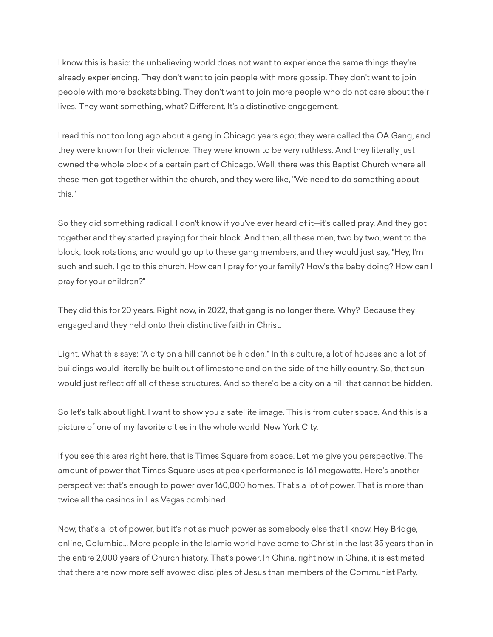I know this is basic: the unbelieving world does not want to experience the same things they're already experiencing. They don't want to join people with more gossip. They don't want to join people with more backstabbing. They don't want to join more people who do not care about their lives. They want something, what? Different. It's a distinctive engagement.

I read this not too long ago about a gang in Chicago years ago; they were called the OA Gang, and they were known for their violence. They were known to be very ruthless. And they literally just owned the whole block of a certain part of Chicago. Well, there was this Baptist Church where all these men got together within the church, and they were like, "We need to do something about this."

So they did something radical. I don't know if you've ever heard of it—it's called pray. And they got together and they started praying for their block. And then, all these men, two by two, went to the block, took rotations, and would go up to these gang members, and they would just say, "Hey, I'm such and such. I go to this church. How can I pray for your family? How's the baby doing? How can I pray for your children?"

They did this for 20 years. Right now, in 2022, that gang is no longer there. Why? Because they engaged and they held onto their distinctive faith in Christ.

Light. What this says: "A city on a hill cannot be hidden." In this culture, a lot of houses and a lot of buildings would literally be built out of limestone and on the side of the hilly country. So, that sun would just reflect off all of these structures. And so there'd be a city on a hill that cannot be hidden.

So let's talk about light. I want to show you a satellite image. This is from outer space. And this is a picture of one of my favorite cities in the whole world, New York City.

If you see this area right here, that is Times Square from space. Let me give you perspective. The amount of power that Times Square uses at peak performance is 161 megawatts. Here's another perspective: that's enough to power over 160,000 homes. That's a lot of power. That is more than twice all the casinos in Las Vegas combined.

Now, that's a lot of power, but it's not as much power as somebody else that I know. Hey Bridge, online, Columbia... More people in the Islamic world have come to Christ in the last 35 years than in the entire 2,000 years of Church history. That's power. In China, right now in China, it is estimated that there are now more self avowed disciples of Jesus than members of the Communist Party.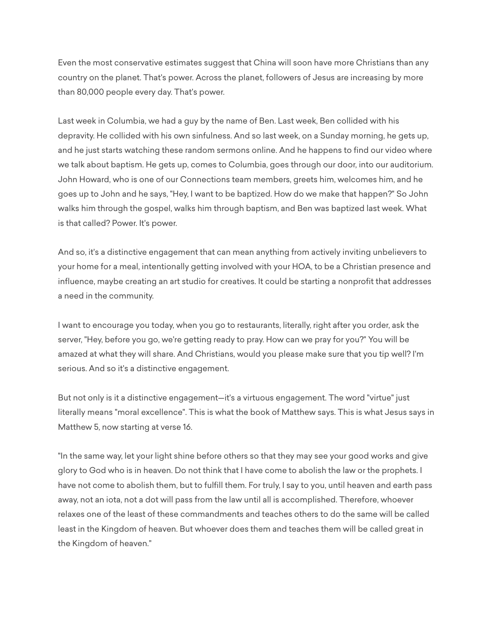Even the most conservative estimates suggest that China will soon have more Christians than any country on the planet. That's power. Across the planet, followers of Jesus are increasing by more than 80,000 people every day. That's power.

Last week in Columbia, we had a guy by the name of Ben. Last week, Ben collided with his depravity. He collided with his own sinfulness. And so last week, on a Sunday morning, he gets up, and he just starts watching these random sermons online. And he happens to find our video where we talk about baptism. He gets up, comes to Columbia, goes through our door, into our auditorium. John Howard, who is one of our Connections team members, greets him, welcomes him, and he goes up to John and he says, "Hey, I want to be baptized. How do we make that happen?" So John walks him through the gospel, walks him through baptism, and Ben was baptized last week. What is that called? Power. It's power.

And so, it's a distinctive engagement that can mean anything from actively inviting unbelievers to your home for a meal, intentionally getting involved with your HOA, to be a Christian presence and influence, maybe creating an art studio for creatives. It could be starting a nonprofit that addresses a need in the community.

I want to encourage you today, when you go to restaurants, literally, right after you order, ask the server, "Hey, before you go, we're getting ready to pray. How can we pray for you?" You will be amazed at what they will share. And Christians, would you please make sure that you tip well? I'm serious. And so it's a distinctive engagement.

But not only is it a distinctive engagement—it's a virtuous engagement. The word "virtue" just literally means "moral excellence". This is what the book of Matthew says. This is what Jesus says in Matthew 5, now starting at verse 16.

"In the same way, let your light shine before others so that they may see your good works and give glory to God who is in heaven. Do not think that I have come to abolish the law or the prophets. I have not come to abolish them, but to fulfill them. For truly, I say to you, until heaven and earth pass away, not an iota, not a dot will pass from the law until all is accomplished. Therefore, whoever relaxes one of the least of these commandments and teaches others to do the same will be called least in the Kingdom of heaven. But whoever does them and teaches them will be called great in the Kingdom of heaven."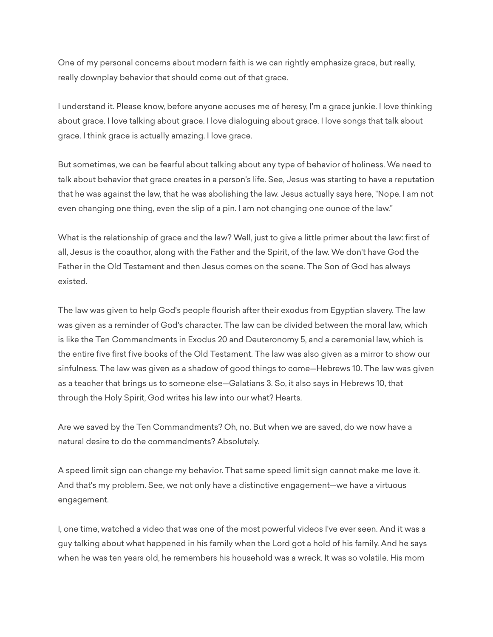One of my personal concerns about modern faith is we can rightly emphasize grace, but really, really downplay behavior that should come out of that grace.

I understand it. Please know, before anyone accuses me of heresy, I'm a grace junkie. I love thinking about grace. I love talking about grace. I love dialoguing about grace. I love songs that talk about grace. I think grace is actually amazing. I love grace.

But sometimes, we can be fearful about talking about any type of behavior of holiness. We need to talk about behavior that grace creates in a person's life. See, Jesus was starting to have a reputation that he was against the law, that he was abolishing the law. Jesus actually says here, "Nope. I am not even changing one thing, even the slip of a pin. I am not changing one ounce of the law."

What is the relationship of grace and the law? Well, just to give a little primer about the law: first of all, Jesus is the coauthor, along with the Father and the Spirit, of the law. We don't have God the Father in the Old Testament and then Jesus comes on the scene. The Son of God has always existed.

The law was given to help God's people flourish after their exodus from Egyptian slavery. The law was given as a reminder of God's character. The law can be divided between the moral law, which is like the Ten Commandments in Exodus 20 and Deuteronomy 5, and a ceremonial law, which is the entire five first five books of the Old Testament. The law was also given as a mirror to show our sinfulness. The law was given as a shadow of good things to come—Hebrews 10. The law was given as a teacher that brings us to someone else—Galatians 3. So, it also says in Hebrews 10, that through the Holy Spirit, God writes his law into our what? Hearts.

Are we saved by the Ten Commandments? Oh, no. But when we are saved, do we now have a natural desire to do the commandments? Absolutely.

A speed limit sign can change my behavior. That same speed limit sign cannot make me love it. And that's my problem. See, we not only have a distinctive engagement—we have a virtuous engagement.

I, one time, watched a video that was one of the most powerful videos I've ever seen. And it was a guy talking about what happened in his family when the Lord got a hold of his family. And he says when he was ten years old, he remembers his household was a wreck. It was so volatile. His mom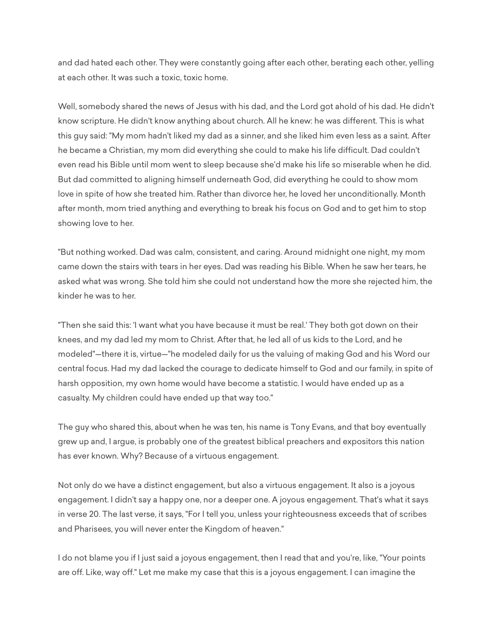and dad hated each other. They were constantly going after each other, berating each other, yelling at each other. It was such a toxic, toxic home.

Well, somebody shared the news of Jesus with his dad, and the Lord got ahold of his dad. He didn't know scripture. He didn't know anything about church. All he knew: he was different. This is what this guy said: "My mom hadn't liked my dad as a sinner, and she liked him even less as a saint. After he became a Christian, my mom did everything she could to make his life difficult. Dad couldn't even read his Bible until mom went to sleep because she'd make his life so miserable when he did. But dad committed to aligning himself underneath God, did everything he could to show mom love in spite of how she treated him. Rather than divorce her, he loved her unconditionally. Month after month, mom tried anything and everything to break his focus on God and to get him to stop showing love to her.

"But nothing worked. Dad was calm, consistent, and caring. Around midnight one night, my mom came down the stairs with tears in her eyes. Dad was reading his Bible. When he saw her tears, he asked what was wrong. She told him she could not understand how the more she rejected him, the kinder he was to her.

"Then she said this: 'I want what you have because it must be real.' They both got down on their knees, and my dad led my mom to Christ. After that, he led all of us kids to the Lord, and he modeled"—there it is, virtue—"he modeled daily for us the valuing of making God and his Word our central focus. Had my dad lacked the courage to dedicate himself to God and our family, in spite of harsh opposition, my own home would have become a statistic. I would have ended up as a casualty. My children could have ended up that way too."

The guy who shared this, about when he was ten, his name is Tony Evans, and that boy eventually grew up and, I argue, is probably one of the greatest biblical preachers and expositors this nation has ever known. Why? Because of a virtuous engagement.

Not only do we have a distinct engagement, but also a virtuous engagement. It also is a joyous engagement. I didn't say a happy one, nor a deeper one. A joyous engagement. That's what it says in verse 20. The last verse, it says, "For I tell you, unless your righteousness exceeds that of scribes and Pharisees, you will never enter the Kingdom of heaven."

I do not blame you if I just said a joyous engagement, then I read that and you're, like, "Your points are off. Like, way off." Let me make my case that this is a joyous engagement. I can imagine the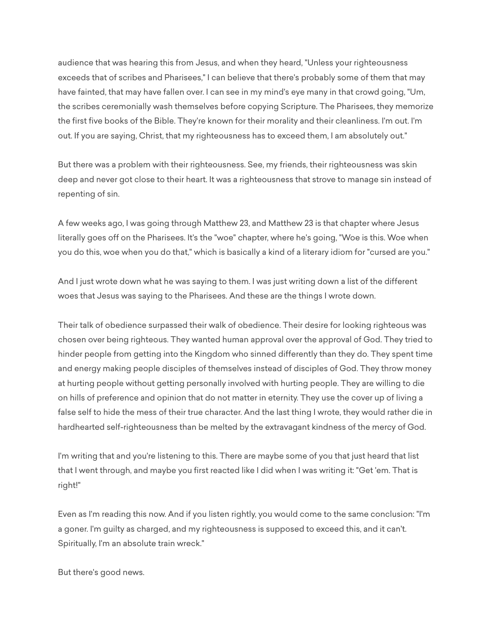audience that was hearing this from Jesus, and when they heard, "Unless your righteousness exceeds that of scribes and Pharisees," I can believe that there's probably some of them that may have fainted, that may have fallen over. I can see in my mind's eye many in that crowd going, "Um, the scribes ceremonially wash themselves before copying Scripture. The Pharisees, they memorize the first five books of the Bible. They're known for their morality and their cleanliness. I'm out. I'm out. If you are saying, Christ, that my righteousness has to exceed them, I am absolutely out."

But there was a problem with their righteousness. See, my friends, their righteousness was skin deep and never got close to their heart. It was a righteousness that strove to manage sin instead of repenting of sin.

A few weeks ago, I was going through Matthew 23, and Matthew 23 is that chapter where Jesus literally goes off on the Pharisees. It's the "woe" chapter, where he's going, "Woe is this. Woe when you do this, woe when you do that," which is basically a kind of a literary idiom for "cursed are you."

And I just wrote down what he was saying to them. I was just writing down a list of the different woes that Jesus was saying to the Pharisees. And these are the things I wrote down.

Their talk of obedience surpassed their walk of obedience. Their desire for looking righteous was chosen over being righteous. They wanted human approval over the approval of God. They tried to hinder people from getting into the Kingdom who sinned differently than they do. They spent time and energy making people disciples of themselves instead of disciples of God. They throw money at hurting people without getting personally involved with hurting people. They are willing to die on hills of preference and opinion that do not matter in eternity. They use the cover up of living a false self to hide the mess of their true character. And the last thing I wrote, they would rather die in hardhearted self-righteousness than be melted by the extravagant kindness of the mercy of God.

I'm writing that and you're listening to this. There are maybe some of you that just heard that list that I went through, and maybe you first reacted like I did when I was writing it: "Get 'em. That is right!"

Even as I'm reading this now. And if you listen rightly, you would come to the same conclusion: "I'm a goner. I'm guilty as charged, and my righteousness is supposed to exceed this, and it can't. Spiritually, I'm an absolute train wreck."

But there's good news.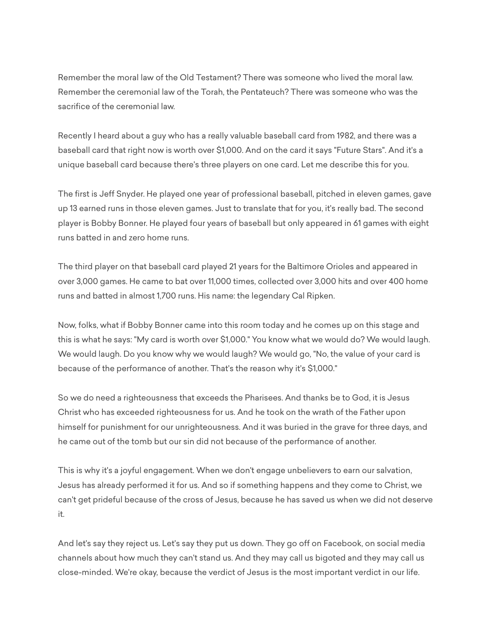Remember the moral law of the Old Testament? There was someone who lived the moral law. Remember the ceremonial law of the Torah, the Pentateuch? There was someone who was the sacrifice of the ceremonial law.

Recently I heard about a guy who has a really valuable baseball card from 1982, and there was a baseball card that right now is worth over \$1,000. And on the card it says "Future Stars". And it's a unique baseball card because there's three players on one card. Let me describe this for you.

The first is Jeff Snyder. He played one year of professional baseball, pitched in eleven games, gave up 13 earned runs in those eleven games. Just to translate that for you, it's really bad. The second player is Bobby Bonner. He played four years of baseball but only appeared in 61 games with eight runs batted in and zero home runs.

The third player on that baseball card played 21 years for the Baltimore Orioles and appeared in over 3,000 games. He came to bat over 11,000 times, collected over 3,000 hits and over 400 home runs and batted in almost 1,700 runs. His name: the legendary Cal Ripken.

Now, folks, what if Bobby Bonner came into this room today and he comes up on this stage and this is what he says: "My card is worth over \$1,000." You know what we would do? We would laugh. We would laugh. Do you know why we would laugh? We would go, "No, the value of your card is because of the performance of another. That's the reason why it's \$1,000."

So we do need a righteousness that exceeds the Pharisees. And thanks be to God, it is Jesus Christ who has exceeded righteousness for us. And he took on the wrath of the Father upon himself for punishment for our unrighteousness. And it was buried in the grave for three days, and he came out of the tomb but our sin did not because of the performance of another.

This is why it's a joyful engagement. When we don't engage unbelievers to earn our salvation, Jesus has already performed it for us. And so if something happens and they come to Christ, we can't get prideful because of the cross of Jesus, because he has saved us when we did not deserve it.

And let's say they reject us. Let's say they put us down. They go off on Facebook, on social media channels about how much they can't stand us. And they may call us bigoted and they may call us close-minded. We're okay, because the verdict of Jesus is the most important verdict in our life.